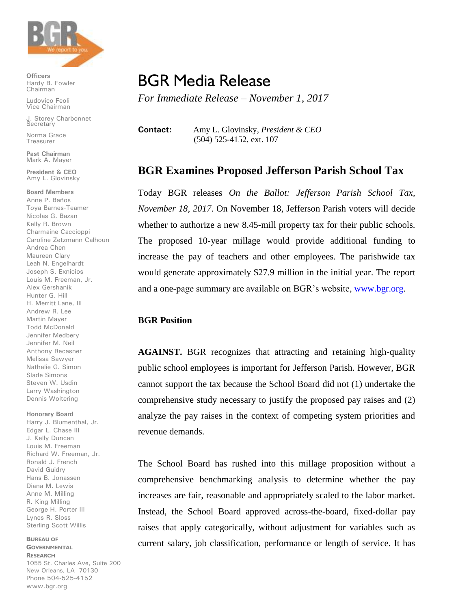

**Officers** Hardy B. Fowler Chairman

Ludovico Feoli Vice Chairman

J. Storey Charbonnet **Secretary** 

Norma Grace Treasurer

**Past Chairman** Mark A. Mayer

**President & CEO** Amy L. Glovinsky

**Board Members**

Anne P. Baños Toya Barnes-Teamer Nicolas G. Bazan Kelly R. Brown Charmaine Caccioppi Caroline Zetzmann Calhoun Andrea Chen Maureen Clary Leah N. Engelhardt Joseph S. Exnicios Louis M. Freeman, Jr. Alex Gershanik Hunter G. Hill H. Merritt Lane, III Andrew R. Lee Martin Mayer Todd McDonald Jennifer Medbery Jennifer M. Neil Anthony Recasner Melissa Sawyer Nathalie G. Simon Slade Simons Steven W. Usdin Larry Washington Dennis Woltering

## **Honorary Board**

Harry J. Blumenthal, Jr. Edgar L. Chase III J. Kelly Duncan Louis M. Freeman Richard W. Freeman, Jr. Ronald J. French David Guidry Hans B. Jonassen Diana M. Lewis Anne M. Milling R. King Milling George H. Porter III Lynes R. Sloss Sterling Scott Willis

**BUREAU OF GOVERNMENTAL RESEARCH** 1055 St. Charles Ave, Suite 200 New Orleans, LA 70130 Phone 504-525-4152 www.bgr.org

## BGR Media Release

*For Immediate Release – November 1, 2017*

**Contact:** Amy L. Glovinsky, *President & CEO* (504) 525-4152, ext. 107

## **BGR Examines Proposed Jefferson Parish School Tax**

Today BGR releases *On the Ballot: Jefferson Parish School Tax, November 18, 2017*. On November 18, Jefferson Parish voters will decide whether to authorize a new 8.45-mill property tax for their public schools. The proposed 10-year millage would provide additional funding to increase the pay of teachers and other employees. The parishwide tax would generate approximately \$27.9 million in the initial year. The report and a one-page summary are available on BGR's website, [www.bgr.org.](http://www.bgr.org/)

## **BGR Position**

**AGAINST.** BGR recognizes that attracting and retaining high-quality public school employees is important for Jefferson Parish. However, BGR cannot support the tax because the School Board did not (1) undertake the comprehensive study necessary to justify the proposed pay raises and (2) analyze the pay raises in the context of competing system priorities and revenue demands.

The School Board has rushed into this millage proposition without a comprehensive benchmarking analysis to determine whether the pay increases are fair, reasonable and appropriately scaled to the labor market. Instead, the School Board approved across-the-board, fixed-dollar pay raises that apply categorically, without adjustment for variables such as current salary, job classification, performance or length of service. It has